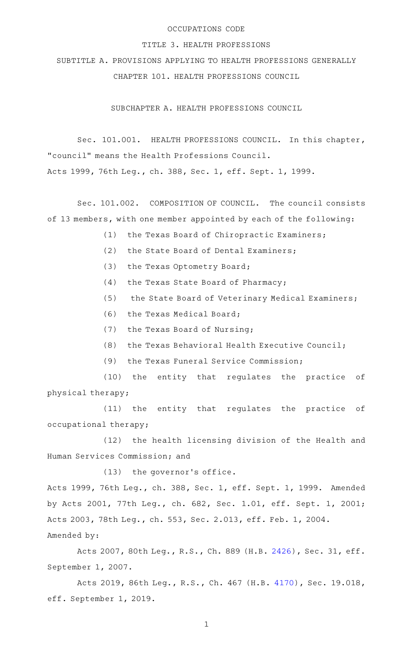## OCCUPATIONS CODE

#### TITLE 3. HEALTH PROFESSIONS

SUBTITLE A. PROVISIONS APPLYING TO HEALTH PROFESSIONS GENERALLY CHAPTER 101. HEALTH PROFESSIONS COUNCIL

SUBCHAPTER A. HEALTH PROFESSIONS COUNCIL

Sec. 101.001. HEALTH PROFESSIONS COUNCIL. In this chapter, "council" means the Health Professions Council. Acts 1999, 76th Leg., ch. 388, Sec. 1, eff. Sept. 1, 1999.

Sec. 101.002. COMPOSITION OF COUNCIL. The council consists of 13 members, with one member appointed by each of the following:

- (1) the Texas Board of Chiropractic Examiners;
- (2) the State Board of Dental Examiners;
- (3) the Texas Optometry Board;
- $(4)$  the Texas State Board of Pharmacy;
- (5) the State Board of Veterinary Medical Examiners;
- (6) the Texas Medical Board;
- (7) the Texas Board of Nursing;
- (8) the Texas Behavioral Health Executive Council;
- (9) the Texas Funeral Service Commission;

(10) the entity that regulates the practice of physical therapy;

(11) the entity that regulates the practice of occupational therapy;

(12) the health licensing division of the Health and Human Services Commission; and

 $(13)$  the governor's office.

Acts 1999, 76th Leg., ch. 388, Sec. 1, eff. Sept. 1, 1999. Amended by Acts 2001, 77th Leg., ch. 682, Sec. 1.01, eff. Sept. 1, 2001; Acts 2003, 78th Leg., ch. 553, Sec. 2.013, eff. Feb. 1, 2004. Amended by:

Acts 2007, 80th Leg., R.S., Ch. 889 (H.B. [2426\)](http://www.legis.state.tx.us/tlodocs/80R/billtext/html/HB02426F.HTM), Sec. 31, eff. September 1, 2007.

Acts 2019, 86th Leg., R.S., Ch. 467 (H.B. [4170\)](http://www.legis.state.tx.us/tlodocs/86R/billtext/html/HB04170F.HTM), Sec. 19.018, eff. September 1, 2019.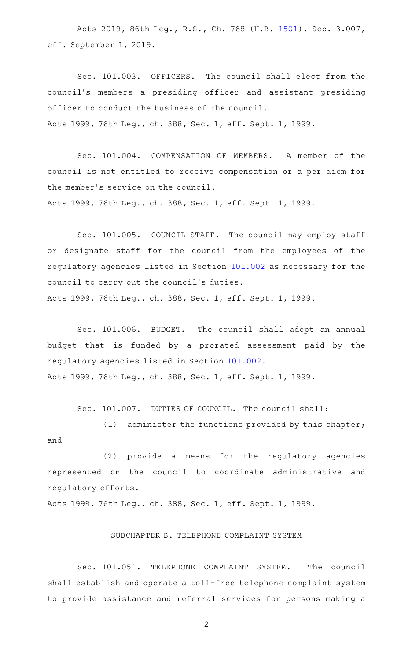Acts 2019, 86th Leg., R.S., Ch. 768 (H.B. [1501\)](http://www.legis.state.tx.us/tlodocs/86R/billtext/html/HB01501F.HTM), Sec. 3.007, eff. September 1, 2019.

Sec. 101.003. OFFICERS. The council shall elect from the council 's members a presiding officer and assistant presiding officer to conduct the business of the council. Acts 1999, 76th Leg., ch. 388, Sec. 1, eff. Sept. 1, 1999.

Sec. 101.004. COMPENSATION OF MEMBERS. A member of the council is not entitled to receive compensation or a per diem for the member 's service on the council.

Acts 1999, 76th Leg., ch. 388, Sec. 1, eff. Sept. 1, 1999.

Sec. 101.005. COUNCIL STAFF. The council may employ staff or designate staff for the council from the employees of the regulatory agencies listed in Section [101.002](http://www.statutes.legis.state.tx.us/GetStatute.aspx?Code=OC&Value=101.002) as necessary for the council to carry out the council 's duties. Acts 1999, 76th Leg., ch. 388, Sec. 1, eff. Sept. 1, 1999.

Sec. 101.006. BUDGET. The council shall adopt an annual budget that is funded by a prorated assessment paid by the regulatory agencies listed in Section [101.002](http://www.statutes.legis.state.tx.us/GetStatute.aspx?Code=OC&Value=101.002). Acts 1999, 76th Leg., ch. 388, Sec. 1, eff. Sept. 1, 1999.

Sec. 101.007. DUTIES OF COUNCIL. The council shall:

(1) administer the functions provided by this chapter; and

(2) provide a means for the regulatory agencies represented on the council to coordinate administrative and regulatory efforts.

Acts 1999, 76th Leg., ch. 388, Sec. 1, eff. Sept. 1, 1999.

## SUBCHAPTER B. TELEPHONE COMPLAINT SYSTEM

Sec. 101.051. TELEPHONE COMPLAINT SYSTEM. The council shall establish and operate a toll-free telephone complaint system to provide assistance and referral services for persons making a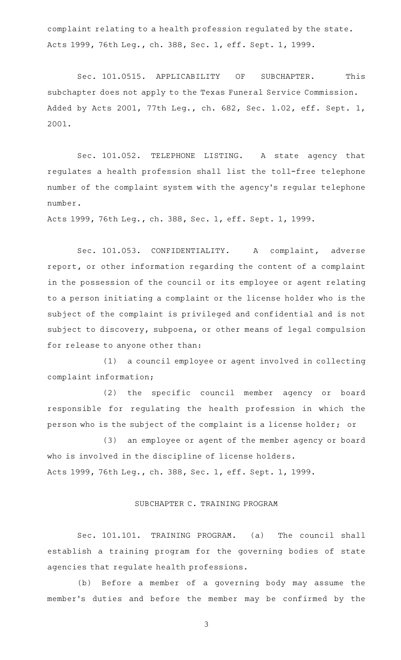complaint relating to a health profession regulated by the state. Acts 1999, 76th Leg., ch. 388, Sec. 1, eff. Sept. 1, 1999.

Sec. 101.0515. APPLICABILITY OF SUBCHAPTER. This subchapter does not apply to the Texas Funeral Service Commission. Added by Acts 2001, 77th Leg., ch. 682, Sec. 1.02, eff. Sept. 1, 2001.

Sec. 101.052. TELEPHONE LISTING. A state agency that regulates a health profession shall list the toll-free telephone number of the complaint system with the agency 's regular telephone number.

Acts 1999, 76th Leg., ch. 388, Sec. 1, eff. Sept. 1, 1999.

Sec. 101.053. CONFIDENTIALITY. A complaint, adverse report, or other information regarding the content of a complaint in the possession of the council or its employee or agent relating to a person initiating a complaint or the license holder who is the subject of the complaint is privileged and confidential and is not subject to discovery, subpoena, or other means of legal compulsion for release to anyone other than:

(1) a council employee or agent involved in collecting complaint information;

(2) the specific council member agency or board responsible for regulating the health profession in which the person who is the subject of the complaint is a license holder; or

(3) an employee or agent of the member agency or board who is involved in the discipline of license holders. Acts 1999, 76th Leg., ch. 388, Sec. 1, eff. Sept. 1, 1999.

#### SUBCHAPTER C. TRAINING PROGRAM

Sec. 101.101. TRAINING PROGRAM. (a) The council shall establish a training program for the governing bodies of state agencies that regulate health professions.

(b) Before a member of a governing body may assume the member 's duties and before the member may be confirmed by the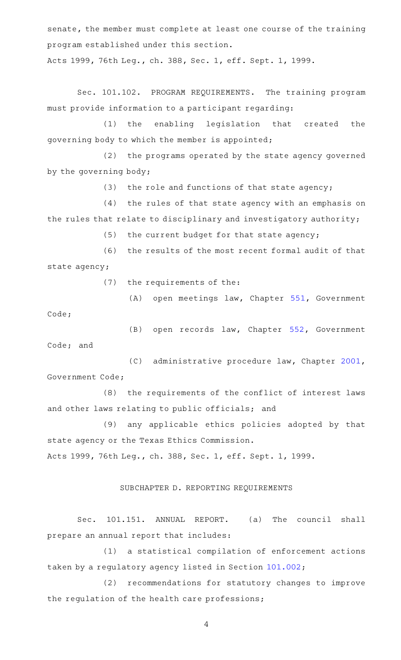senate, the member must complete at least one course of the training program established under this section.

Acts 1999, 76th Leg., ch. 388, Sec. 1, eff. Sept. 1, 1999.

Sec. 101.102. PROGRAM REQUIREMENTS. The training program must provide information to a participant regarding:

(1) the enabling legislation that created the governing body to which the member is appointed;

(2) the programs operated by the state agency governed by the governing body;

(3) the role and functions of that state agency;

(4) the rules of that state agency with an emphasis on the rules that relate to disciplinary and investigatory authority;

 $(5)$  the current budget for that state agency;

(6) the results of the most recent formal audit of that state agency;

(7) the requirements of the:

(A) open meetings law, Chapter [551,](http://www.statutes.legis.state.tx.us/GetStatute.aspx?Code=GV&Value=551) Government

Code;

(B) open records law, Chapter [552](http://www.statutes.legis.state.tx.us/GetStatute.aspx?Code=GV&Value=552), Government Code; and

(C) administrative procedure law, Chapter [2001](http://www.statutes.legis.state.tx.us/GetStatute.aspx?Code=GV&Value=2001), Government Code;

(8) the requirements of the conflict of interest laws and other laws relating to public officials; and

(9) any applicable ethics policies adopted by that state agency or the Texas Ethics Commission. Acts 1999, 76th Leg., ch. 388, Sec. 1, eff. Sept. 1, 1999.

# SUBCHAPTER D. REPORTING REQUIREMENTS

Sec. 101.151. ANNUAL REPORT. (a) The council shall prepare an annual report that includes:

(1) a statistical compilation of enforcement actions taken by a regulatory agency listed in Section [101.002](http://www.statutes.legis.state.tx.us/GetStatute.aspx?Code=OC&Value=101.002);

(2) recommendations for statutory changes to improve the regulation of the health care professions;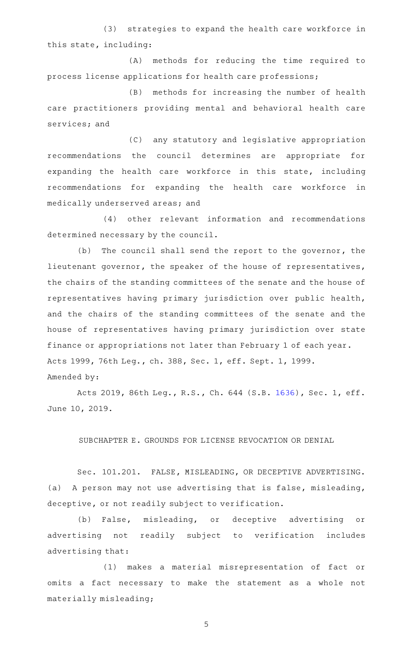(3) strategies to expand the health care workforce in this state, including:

(A) methods for reducing the time required to process license applications for health care professions;

(B) methods for increasing the number of health care practitioners providing mental and behavioral health care services; and

(C) any statutory and legislative appropriation recommendations the council determines are appropriate for expanding the health care workforce in this state, including recommendations for expanding the health care workforce in medically underserved areas; and

(4) other relevant information and recommendations determined necessary by the council.

(b) The council shall send the report to the governor, the lieutenant governor, the speaker of the house of representatives, the chairs of the standing committees of the senate and the house of representatives having primary jurisdiction over public health, and the chairs of the standing committees of the senate and the house of representatives having primary jurisdiction over state finance or appropriations not later than February 1 of each year. Acts 1999, 76th Leg., ch. 388, Sec. 1, eff. Sept. 1, 1999. Amended by:

Acts 2019, 86th Leg., R.S., Ch. 644 (S.B. [1636](http://www.legis.state.tx.us/tlodocs/86R/billtext/html/SB01636F.HTM)), Sec. 1, eff. June 10, 2019.

SUBCHAPTER E. GROUNDS FOR LICENSE REVOCATION OR DENIAL

Sec. 101.201. FALSE, MISLEADING, OR DECEPTIVE ADVERTISING. (a) A person may not use advertising that is false, misleading, deceptive, or not readily subject to verification.

(b) False, misleading, or deceptive advertising or advertising not readily subject to verification includes advertising that:

(1) makes a material misrepresentation of fact or omits a fact necessary to make the statement as a whole not materially misleading;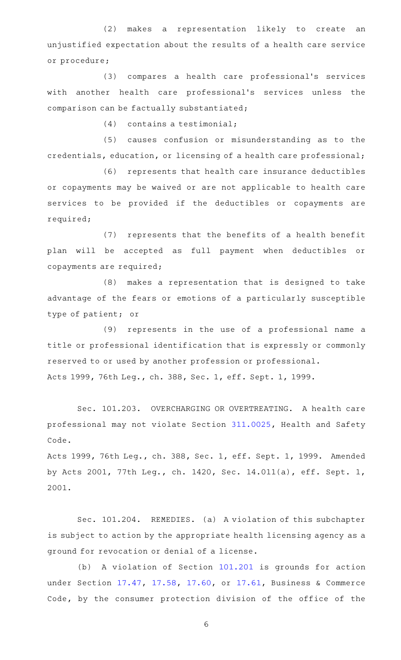(2) makes a representation likely to create an unjustified expectation about the results of a health care service or procedure;

(3) compares a health care professional's services with another health care professional 's services unless the comparison can be factually substantiated;

 $(4)$  contains a testimonial;

(5) causes confusion or misunderstanding as to the credentials, education, or licensing of a health care professional;

(6) represents that health care insurance deductibles or copayments may be waived or are not applicable to health care services to be provided if the deductibles or copayments are required;

(7) represents that the benefits of a health benefit plan will be accepted as full payment when deductibles or copayments are required;

(8) makes a representation that is designed to take advantage of the fears or emotions of a particularly susceptible type of patient; or

(9) represents in the use of a professional name a title or professional identification that is expressly or commonly reserved to or used by another profession or professional. Acts 1999, 76th Leg., ch. 388, Sec. 1, eff. Sept. 1, 1999.

Sec. 101.203. OVERCHARGING OR OVERTREATING. A health care professional may not violate Section [311.0025](http://www.statutes.legis.state.tx.us/GetStatute.aspx?Code=HS&Value=311.0025), Health and Safety Code.

Acts 1999, 76th Leg., ch. 388, Sec. 1, eff. Sept. 1, 1999. Amended by Acts 2001, 77th Leg., ch. 1420, Sec. 14.011(a), eff. Sept. 1, 2001.

Sec. 101.204. REMEDIES. (a) A violation of this subchapter is subject to action by the appropriate health licensing agency as a ground for revocation or denial of a license.

(b) A violation of Section [101.201](http://www.statutes.legis.state.tx.us/GetStatute.aspx?Code=OC&Value=101.201) is grounds for action under Section [17.47](http://www.statutes.legis.state.tx.us/GetStatute.aspx?Code=BC&Value=17.47), [17.58](http://www.statutes.legis.state.tx.us/GetStatute.aspx?Code=BC&Value=17.58), [17.60](http://www.statutes.legis.state.tx.us/GetStatute.aspx?Code=BC&Value=17.60), or [17.61](http://www.statutes.legis.state.tx.us/GetStatute.aspx?Code=BC&Value=17.61), Business & Commerce Code, by the consumer protection division of the office of the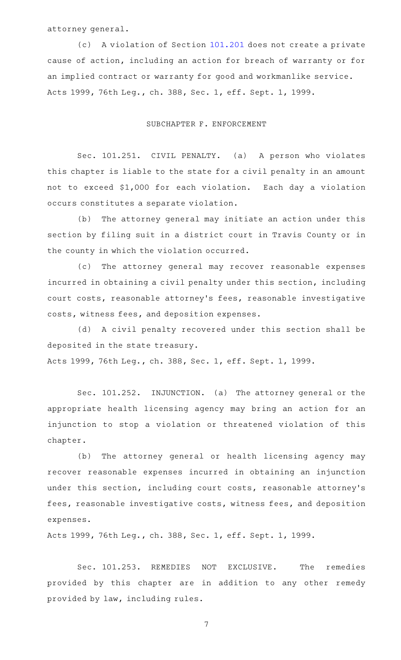attorney general.

(c) A violation of Section [101.201](http://www.statutes.legis.state.tx.us/GetStatute.aspx?Code=OC&Value=101.201) does not create a private cause of action, including an action for breach of warranty or for an implied contract or warranty for good and workmanlike service. Acts 1999, 76th Leg., ch. 388, Sec. 1, eff. Sept. 1, 1999.

### SUBCHAPTER F. ENFORCEMENT

Sec. 101.251. CIVIL PENALTY. (a) A person who violates this chapter is liable to the state for a civil penalty in an amount not to exceed \$1,000 for each violation. Each day a violation occurs constitutes a separate violation.

(b) The attorney general may initiate an action under this section by filing suit in a district court in Travis County or in the county in which the violation occurred.

(c) The attorney general may recover reasonable expenses incurred in obtaining a civil penalty under this section, including court costs, reasonable attorney 's fees, reasonable investigative costs, witness fees, and deposition expenses.

(d) A civil penalty recovered under this section shall be deposited in the state treasury. Acts 1999, 76th Leg., ch. 388, Sec. 1, eff. Sept. 1, 1999.

Sec. 101.252. INJUNCTION. (a) The attorney general or the appropriate health licensing agency may bring an action for an injunction to stop a violation or threatened violation of this chapter.

(b) The attorney general or health licensing agency may recover reasonable expenses incurred in obtaining an injunction under this section, including court costs, reasonable attorney 's fees, reasonable investigative costs, witness fees, and deposition expenses.

Acts 1999, 76th Leg., ch. 388, Sec. 1, eff. Sept. 1, 1999.

Sec. 101.253. REMEDIES NOT EXCLUSIVE. The remedies provided by this chapter are in addition to any other remedy provided by law, including rules.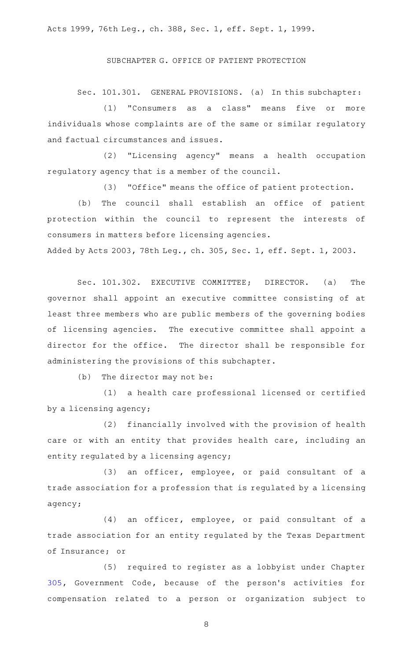Acts 1999, 76th Leg., ch. 388, Sec. 1, eff. Sept. 1, 1999.

SUBCHAPTER G. OFFICE OF PATIENT PROTECTION

Sec. 101.301. GENERAL PROVISIONS. (a) In this subchapter:

(1) "Consumers as a class" means five or more individuals whose complaints are of the same or similar regulatory and factual circumstances and issues.

(2) "Licensing agency" means a health occupation regulatory agency that is a member of the council.

(3) "Office" means the office of patient protection.

(b) The council shall establish an office of patient protection within the council to represent the interests of consumers in matters before licensing agencies. Added by Acts 2003, 78th Leg., ch. 305, Sec. 1, eff. Sept. 1, 2003.

Sec. 101.302. EXECUTIVE COMMITTEE; DIRECTOR. (a) The governor shall appoint an executive committee consisting of at least three members who are public members of the governing bodies of licensing agencies. The executive committee shall appoint a director for the office. The director shall be responsible for administering the provisions of this subchapter.

 $(b)$  The director may not be:

(1) a health care professional licensed or certified by a licensing agency;

(2) financially involved with the provision of health care or with an entity that provides health care, including an entity regulated by a licensing agency;

 $(3)$  an officer, employee, or paid consultant of a trade association for a profession that is regulated by a licensing agency;

(4) an officer, employee, or paid consultant of a trade association for an entity regulated by the Texas Department of Insurance; or

(5) required to register as a lobbyist under Chapter [305,](http://www.statutes.legis.state.tx.us/GetStatute.aspx?Code=GV&Value=305) Government Code, because of the person 's activities for compensation related to a person or organization subject to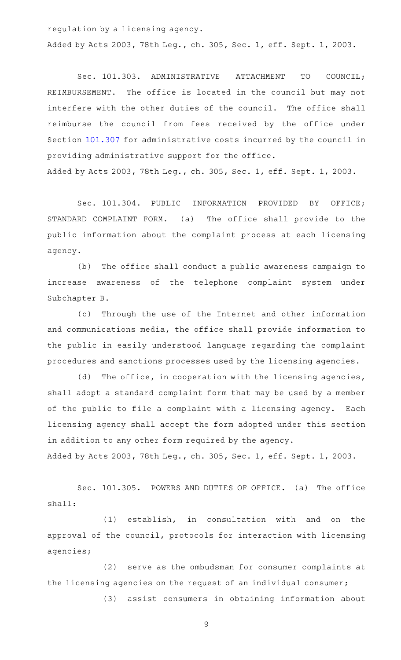regulation by a licensing agency.

Added by Acts 2003, 78th Leg., ch. 305, Sec. 1, eff. Sept. 1, 2003.

Sec. 101.303. ADMINISTRATIVE ATTACHMENT TO COUNCIL; REIMBURSEMENT. The office is located in the council but may not interfere with the other duties of the council. The office shall reimburse the council from fees received by the office under Section [101.307](http://www.statutes.legis.state.tx.us/GetStatute.aspx?Code=OC&Value=101.307) for administrative costs incurred by the council in providing administrative support for the office. Added by Acts 2003, 78th Leg., ch. 305, Sec. 1, eff. Sept. 1, 2003.

Sec. 101.304. PUBLIC INFORMATION PROVIDED BY OFFICE; STANDARD COMPLAINT FORM. (a) The office shall provide to the public information about the complaint process at each licensing agency.

(b) The office shall conduct a public awareness campaign to increase awareness of the telephone complaint system under Subchapter B.

(c) Through the use of the Internet and other information and communications media, the office shall provide information to the public in easily understood language regarding the complaint procedures and sanctions processes used by the licensing agencies.

 $(d)$  The office, in cooperation with the licensing agencies, shall adopt a standard complaint form that may be used by a member of the public to file a complaint with a licensing agency. Each licensing agency shall accept the form adopted under this section in addition to any other form required by the agency. Added by Acts 2003, 78th Leg., ch. 305, Sec. 1, eff. Sept. 1, 2003.

Sec. 101.305. POWERS AND DUTIES OF OFFICE. (a) The office shall:

(1) establish, in consultation with and on the approval of the council, protocols for interaction with licensing agencies;

(2) serve as the ombudsman for consumer complaints at the licensing agencies on the request of an individual consumer;

(3) assist consumers in obtaining information about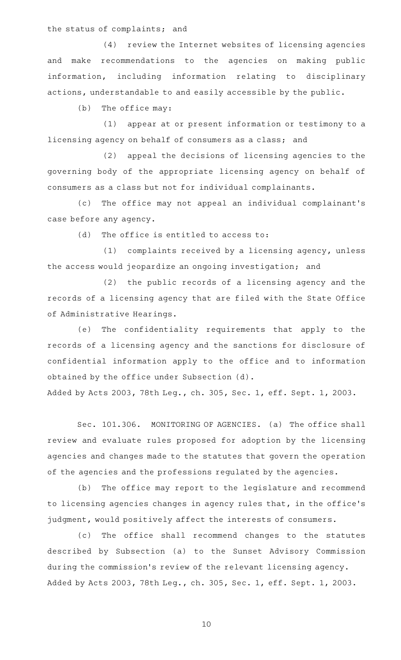the status of complaints; and

(4) review the Internet websites of licensing agencies and make recommendations to the agencies on making public information, including information relating to disciplinary actions, understandable to and easily accessible by the public.

 $(b)$  The office may:

(1) appear at or present information or testimony to a licensing agency on behalf of consumers as a class; and

(2) appeal the decisions of licensing agencies to the governing body of the appropriate licensing agency on behalf of consumers as a class but not for individual complainants.

(c) The office may not appeal an individual complainant's case before any agency.

 $(d)$  The office is entitled to access to:

 $(1)$  complaints received by a licensing agency, unless the access would jeopardize an ongoing investigation; and

(2) the public records of a licensing agency and the records of a licensing agency that are filed with the State Office of Administrative Hearings.

(e) The confidentiality requirements that apply to the records of a licensing agency and the sanctions for disclosure of confidential information apply to the office and to information obtained by the office under Subsection (d).

Added by Acts 2003, 78th Leg., ch. 305, Sec. 1, eff. Sept. 1, 2003.

Sec. 101.306. MONITORING OF AGENCIES. (a) The office shall review and evaluate rules proposed for adoption by the licensing agencies and changes made to the statutes that govern the operation of the agencies and the professions regulated by the agencies.

(b) The office may report to the legislature and recommend to licensing agencies changes in agency rules that, in the office 's judgment, would positively affect the interests of consumers.

(c) The office shall recommend changes to the statutes described by Subsection (a) to the Sunset Advisory Commission during the commission 's review of the relevant licensing agency. Added by Acts 2003, 78th Leg., ch. 305, Sec. 1, eff. Sept. 1, 2003.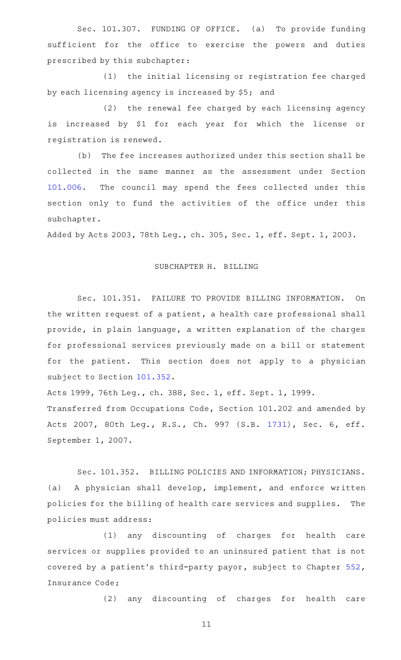Sec. 101.307. FUNDING OF OFFICE. (a) To provide funding sufficient for the office to exercise the powers and duties prescribed by this subchapter:

(1) the initial licensing or registration fee charged by each licensing agency is increased by \$5; and

(2) the renewal fee charged by each licensing agency is increased by \$1 for each year for which the license or registration is renewed.

(b) The fee increases authorized under this section shall be collected in the same manner as the assessment under Section [101.006.](http://www.statutes.legis.state.tx.us/GetStatute.aspx?Code=OC&Value=101.006) The council may spend the fees collected under this section only to fund the activities of the office under this subchapter.

Added by Acts 2003, 78th Leg., ch. 305, Sec. 1, eff. Sept. 1, 2003.

## SUBCHAPTER H. BILLING

Sec. 101.351. FAILURE TO PROVIDE BILLING INFORMATION. On the written request of a patient, a health care professional shall provide, in plain language, a written explanation of the charges for professional services previously made on a bill or statement for the patient. This section does not apply to a physician subject to Section [101.352.](http://www.statutes.legis.state.tx.us/GetStatute.aspx?Code=OC&Value=101.352)

Acts 1999, 76th Leg., ch. 388, Sec. 1, eff. Sept. 1, 1999. Transferred from Occupations Code, Section 101.202 and amended by Acts 2007, 80th Leg., R.S., Ch. 997 (S.B. [1731\)](http://www.legis.state.tx.us/tlodocs/80R/billtext/html/SB01731F.HTM), Sec. 6, eff. September 1, 2007.

Sec. 101.352. BILLING POLICIES AND INFORMATION; PHYSICIANS. (a) A physician shall develop, implement, and enforce written policies for the billing of health care services and supplies. The policies must address:

(1) any discounting of charges for health care services or supplies provided to an uninsured patient that is not covered by a patient 's third-party payor, subject to Chapter [552](http://www.statutes.legis.state.tx.us/GetStatute.aspx?Code=IN&Value=552), Insurance Code;

(2) any discounting of charges for health care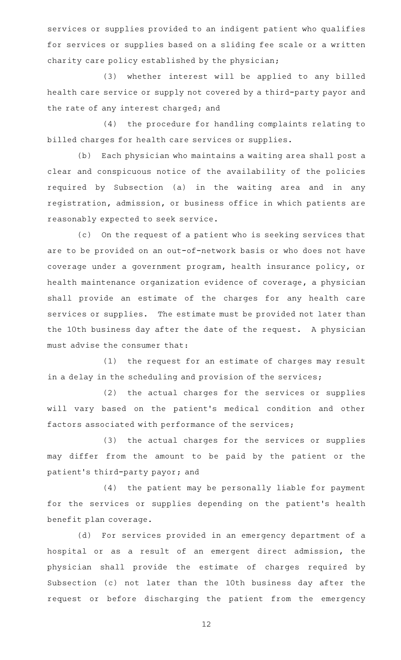services or supplies provided to an indigent patient who qualifies for services or supplies based on a sliding fee scale or a written charity care policy established by the physician;

(3) whether interest will be applied to any billed health care service or supply not covered by a third-party payor and the rate of any interest charged; and

(4) the procedure for handling complaints relating to billed charges for health care services or supplies.

(b) Each physician who maintains a waiting area shall post a clear and conspicuous notice of the availability of the policies required by Subsection (a) in the waiting area and in any registration, admission, or business office in which patients are reasonably expected to seek service.

(c) On the request of a patient who is seeking services that are to be provided on an out-of-network basis or who does not have coverage under a government program, health insurance policy, or health maintenance organization evidence of coverage, a physician shall provide an estimate of the charges for any health care services or supplies. The estimate must be provided not later than the 10th business day after the date of the request. A physician must advise the consumer that:

(1) the request for an estimate of charges may result in a delay in the scheduling and provision of the services;

(2) the actual charges for the services or supplies will vary based on the patient 's medical condition and other factors associated with performance of the services;

(3) the actual charges for the services or supplies may differ from the amount to be paid by the patient or the patient 's third-party payor; and

(4) the patient may be personally liable for payment for the services or supplies depending on the patient's health benefit plan coverage.

(d) For services provided in an emergency department of a hospital or as a result of an emergent direct admission, the physician shall provide the estimate of charges required by Subsection (c) not later than the 10th business day after the request or before discharging the patient from the emergency